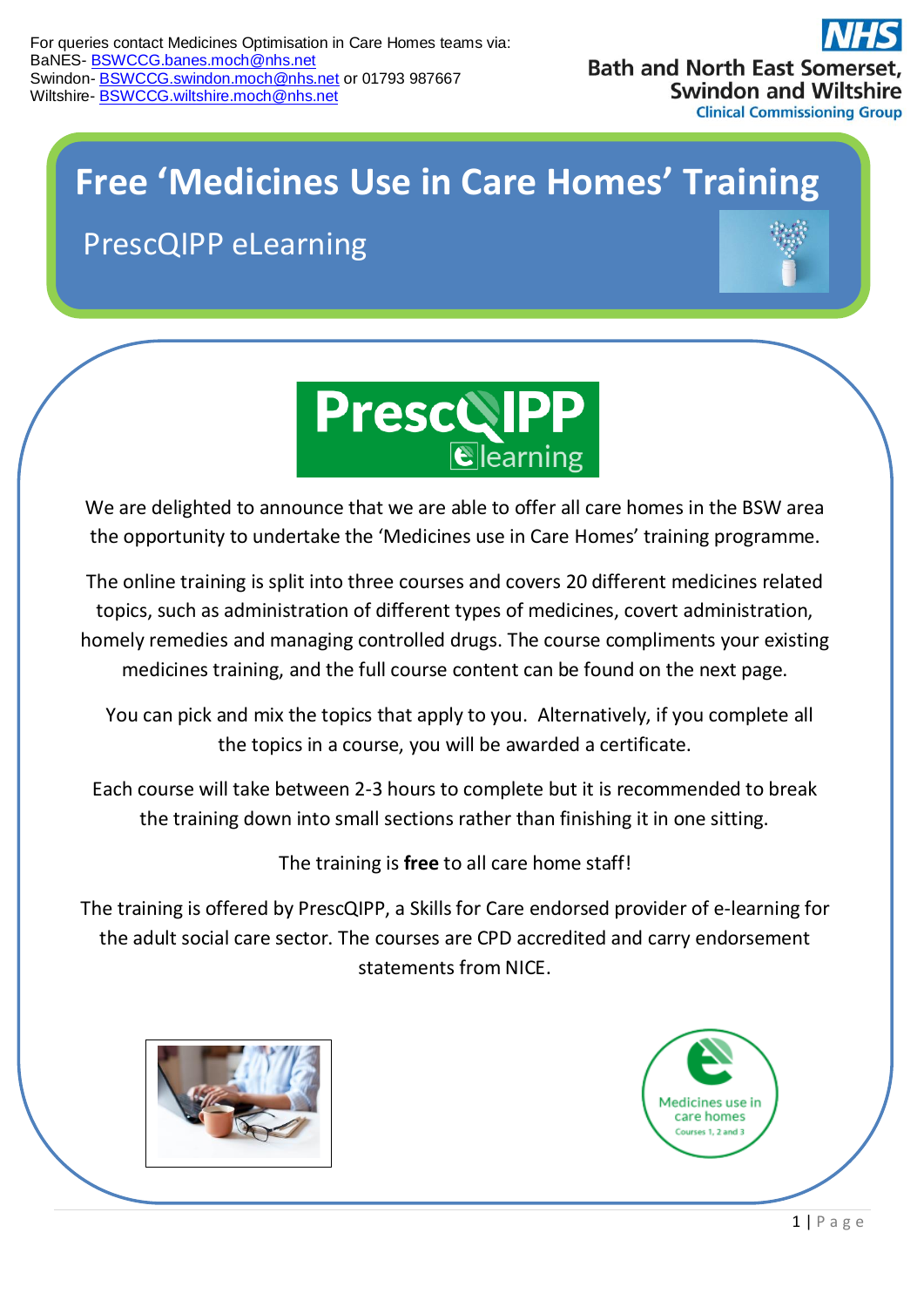

## **Free 'Medicines Use in Care Homes' Training**

PrescQIPP eLearning





We are delighted to announce that we are able to offer all care homes in the BSW area the opportunity to undertake the 'Medicines use in Care Homes' training programme.

The online training is split into three courses and covers 20 different medicines related topics, such as administration of different types of medicines, covert administration, homely remedies and managing controlled drugs. The course compliments your existing medicines training, and the full course content can be found on the next page.

 You can pick and mix the topics that apply to you. Alternatively, if you complete all the topics in a course, you will be awarded a certificate.

Each course will take between 2-3 hours to complete but it is recommended to break the training down into small sections rather than finishing it in one sitting.

The training is **free** to all care home staff!

The training is offered by PrescQIPP, a Skills for Care endorsed provider of e-learning for the adult social care sector. The courses are CPD accredited and carry endorsement statements from NICE.



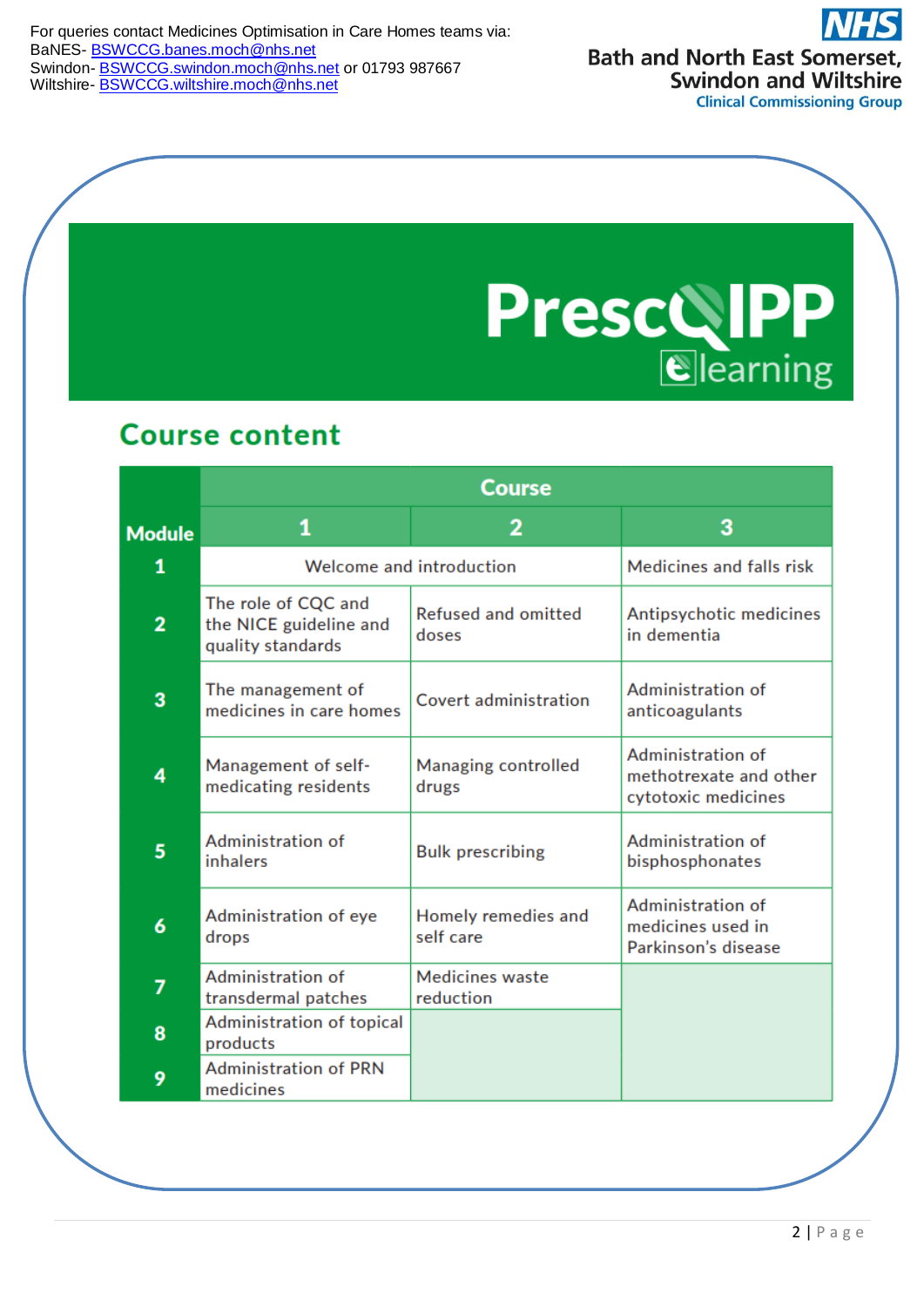For queries contact Medicines Optimisation in Care Homes teams via: BaNES- [BSWCCG.banes.moch@nhs.net](mailto:BSWCCG.banes.moch@nhs.net) Swindon- [BSWCCG.swindon.moch@nhs.net](mailto:BSWCCG.swindon.moch@nhs.net) or 01793 987667 Wiltshire- **[BSWCCG.wiltshire.moch@nhs.net](mailto:BSWCCG.wiltshire.moch@nhs.net)** 

**Bath and North East Somerset, Swindon and Wiltshire Clinical Commissioning Group** 

**PrescolPP** 

## **Course content**

|                | <b>Course</b>                                                      |                                     |                                                                    |  |
|----------------|--------------------------------------------------------------------|-------------------------------------|--------------------------------------------------------------------|--|
| <b>Module</b>  | 1                                                                  | 2                                   | 3                                                                  |  |
| 1              | Welcome and introduction                                           |                                     | Medicines and falls risk                                           |  |
| $\overline{2}$ | The role of CQC and<br>the NICE guideline and<br>quality standards | <b>Refused and omitted</b><br>doses | Antipsychotic medicines<br>in dementia                             |  |
| 3              | The management of<br>medicines in care homes                       | Covert administration               | Administration of<br>anticoagulants                                |  |
| 4              | Management of self-<br>medicating residents                        | Managing controlled<br>drugs        | Administration of<br>methotrexate and other<br>cytotoxic medicines |  |
| 5              | Administration of<br>inhalers                                      | <b>Bulk prescribing</b>             | Administration of<br>bisphosphonates                               |  |
| 6              | Administration of eye<br>drops                                     | Homely remedies and<br>self care    | Administration of<br>medicines used in<br>Parkinson's disease      |  |
| 7              | Administration of<br>transdermal patches                           | <b>Medicines waste</b><br>reduction |                                                                    |  |
| 8              | Administration of topical<br>products                              |                                     |                                                                    |  |
| 9              | <b>Administration of PRN</b><br>medicines                          |                                     |                                                                    |  |